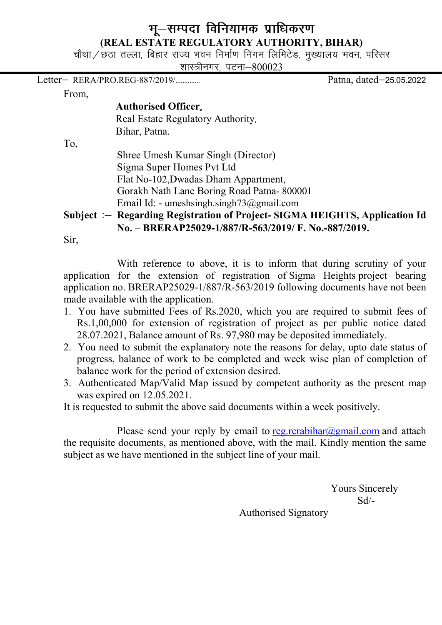## भू-सम्पदा विनियामक प्राधिकरण (REAL ESTATE REGULATORY AUTHORITY, BIHAR)

चौथा / छठा तल्ला, बिहार राज्य भवन निर्माण निगम लिमिटेड, मुख्यालय भवन, परिसर

शास्त्रीनगर, पटना-800023

Letter& RERA/PRO.REG-887/2019/-------------- Patna, dated&25-05-2022

From,

### Authorised Officer

Real Estate Regulatory Authority, Bihar, Patna.

To,

 Shree Umesh Kumar Singh (Director) Sigma Super Homes Pvt Ltd Flat No-102,Dwadas Dham Appartment, Gorakh Nath Lane Boring Road Patna- 800001 Email Id: - umeshsingh.singh73@gmail.com

## Subject : Regarding Registration of Project-SIGMA HEIGHTS, Application Id No. – BRERAP25029-1/887/R-563/2019/ F. No.-887/2019.

Sir,

With reference to above, it is to inform that during scrutiny of your application for the extension of registration of Sigma Heights project bearing application no. BRERAP25029-1/887/R-563/2019 following documents have not been made available with the application.

- 1. You have submitted Fees of Rs.2020, which you are required to submit fees of Rs.1,00,000 for extension of registration of project as per public notice dated 28.07.2021, Balance amount of Rs. 97,980 may be deposited immediately.
- 2. You need to submit the explanatory note the reasons for delay, upto date status of progress, balance of work to be completed and week wise plan of completion of balance work for the period of extension desired.
- 3. Authenticated Map/Valid Map issued by competent authority as the present map was expired on 12.05.2021.

It is requested to submit the above said documents within a week positively.

Please send your reply by email to reg.rerabihar@gmail.com and attach the requisite documents, as mentioned above, with the mail. Kindly mention the same subject as we have mentioned in the subject line of your mail.

 Yours Sincerely Sd/-

Authorised Signatory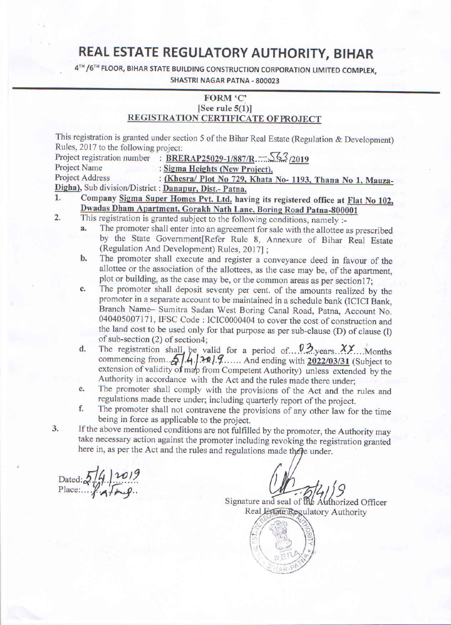# REAL ESTATE REGULATORY AUTHORITY, BIHAR

4TH / 6TH FLOOR, BIHAR STATE BUILDING CONSTRUCTION CORPORATION LIMITED COMPLEX,

### **SHASTRI NAGAR PATNA - 800023**

### FORM 'C' [See rule  $5(1)$ ] REGISTRATION CERTIFICATE OF PROJECT

This registration is granted under section 5 of the Bihar Real Estate (Regulation & Development) Rules, 2017 to the following project:

Project registration number : BRERAP25029-1/887/R.  $\frac{563}{2019}$ 

: Sigma Heights (New Project), Project Name

**Project Address** : (Khesra/ Plot No 729, Khata No- 1193, Thana No 1, Mauza-Digha), Sub division/District : Danapur, Dist.- Patna.

- Company Sigma Super Homes Pvt. Ltd. having its registered office at Flat No 102, 1. Dwadas Dham Apartment, Gorakh Nath Lane, Boring Road Patna-800001  $2.$ 
	- This registration is granted subject to the following conditions, namely :-
		- The promoter shall enter into an agreement for sale with the allottee as prescribed a. by the State Government[Refer Rule 8, Annexure of Bihar Real Estate (Regulation And Development) Rules, 2017];
		- The promoter shall execute and register a conveyance deed in favour of the  $\mathbf{b}$ . allottee or the association of the allottees, as the case may be, of the apartment, plot or building, as the case may be, or the common areas as per section17;
		- The promoter shall deposit seventy per cent. of the amounts realized by the  $\overline{c}$ . promoter in a separate account to be maintained in a schedule bank (ICICI Bank, Branch Name- Sumitra Sadan West Boring Canal Road, Patna, Account No. 040405007171, IFSC Code: ICIC0000404 to cover the cost of construction and the land cost to be used only for that purpose as per sub-clause (D) of clause (l) of sub-section (2) of section4;
		- The registration shall be valid for a period of  $0.2$  years  $XY$ . Months commencing from  $5.4.1227$ .  $\ldots$  And ending with 2022/03/31 (Subject to extension of validity of map from Competent Authority) unless extended by t d. Authority in accordance with the Act and the rules made there under;
		- The promoter shall comply with the provisions of the Act and the rules and e. regulations made there under; including quarterly report of the project.
		- f. The promoter shall not contravene the provisions of any other law for the time being in force as applicable to the project.
- If the above mentioned conditions are not fulfilled by the promoter, the Authority may 3. take necessary action against the promoter including revoking the registration granted here in, as per the Act and the rules and regulations made there under.

Dated:  $5/4/10/9$ <br>Place:  $\sqrt{4/\pi}$ 

Signature and seal of the Authorized Officer Real Estate Regulatory Authority